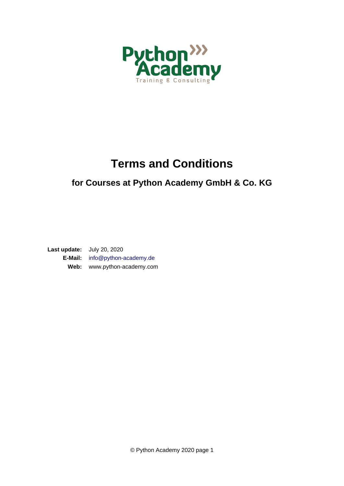

# **Terms and Conditions**

#### **for Courses at Python Academy GmbH & Co. KG**

**Last update:** July 20, 2020 **E-Mail:** [info@python-academy.de](mailto:info@python-academy.de) **Web:** www.python-academy.com

© Python Academy 2020 page 1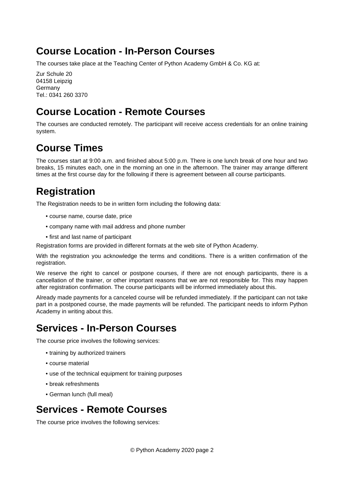#### **Course Location - In-Person Courses**

The courses take place at the Teaching Center of Python Academy GmbH & Co. KG at:

Zur Schule 20 04158 Leipzig Germany Tel.: 0341 260 3370

### **Course Location - Remote Courses**

The courses are conducted remotely. The participant will receive access credentials for an online training system.

### **Course Times**

The courses start at 9:00 a.m. and finished about 5:00 p.m. There is one lunch break of one hour and two breaks, 15 minutes each, one in the morning an one in the afternoon. The trainer may arrange different times at the first course day for the following if there is agreement between all course participants.

### **Registration**

The Registration needs to be in written form including the following data:

- course name, course date, price
- company name with mail address and phone number
- first and last name of participant

Registration forms are provided in different formats at the web site of Python Academy.

With the registration you acknowledge the terms and conditions. There is a written confirmation of the registration.

We reserve the right to cancel or postpone courses, if there are not enough participants, there is a cancellation of the trainer, or other important reasons that we are not responsible for. This may happen after registration confirmation. The course participants will be informed immediately about this.

Already made payments for a canceled course will be refunded immediately. If the participant can not take part in a postponed course, the made payments will be refunded. The participant needs to inform Python Academy in writing about this.

### **Services - In-Person Courses**

The course price involves the following services:

- training by authorized trainers
- course material
- use of the technical equipment for training purposes
- break refreshments
- German lunch (full meal)

#### **Services - Remote Courses**

The course price involves the following services: